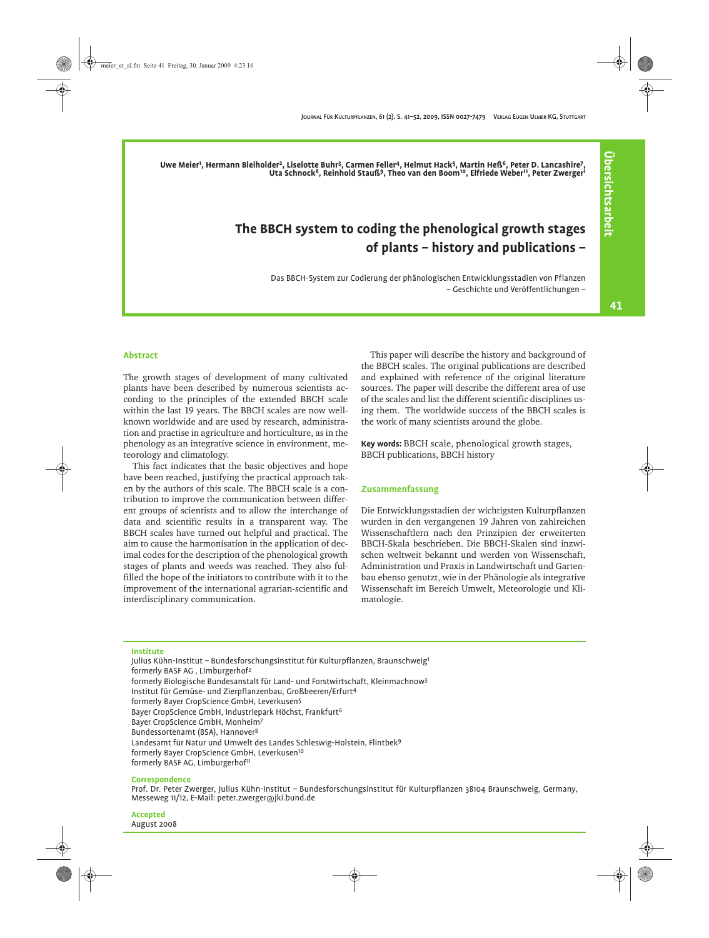**Uwe Meier1 , Hermann Bleiholder2, Liselotte Buhr3, Carmen Feller4, Helmut Hack5, Martin Heß6, Peter D. Lancashire7, Uta Schnock8, Reinhold Stauß9, Theo van den Boom10, Elfriede Weber11, Peter Zwerger1**

# **The BBCH system to coding the phenological growth stages of plants – history and publications –**

Das BBCH-System zur Codierung der phänologischen Entwicklungsstadien von Pflanzen – Geschichte und Veröffentlichungen – **Übersichtsarbeit**

**Übersichtsarbeit** 

#### **Abstract**

The growth stages of development of many cultivated plants have been described by numerous scientists according to the principles of the extended BBCH scale within the last 19 years. The BBCH scales are now wellknown worldwide and are used by research, administration and practise in agriculture and horticulture, as in the phenology as an integrative science in environment, meteorology and climatology.

This fact indicates that the basic objectives and hope have been reached, justifying the practical approach taken by the authors of this scale. The BBCH scale is a contribution to improve the communication between different groups of scientists and to allow the interchange of data and scientific results in a transparent way. The BBCH scales have turned out helpful and practical. The aim to cause the harmonisation in the application of decimal codes for the description of the phenological growth stages of plants and weeds was reached. They also fulfilled the hope of the initiators to contribute with it to the improvement of the international agrarian-scientific and interdisciplinary communication.

This paper will describe the history and background of the BBCH scales. The original publications are described and explained with reference of the original literature sources. The paper will describe the different area of use of the scales and list the different scientific disciplines using them. The worldwide success of the BBCH scales is the work of many scientists around the globe.

**Key words:** BBCH scale, phenological growth stages, BBCH publications, BBCH history

#### **Zusammenfassung**

Die Entwicklungsstadien der wichtigsten Kulturpflanzen wurden in den vergangenen 19 Jahren von zahlreichen Wissenschaftlern nach den Prinzipien der erweiterten BBCH-Skala beschrieben. Die BBCH-Skalen sind inzwischen weltweit bekannt und werden von Wissenschaft, Administration und Praxis in Landwirtschaft und Gartenbau ebenso genutzt, wie in der Phänologie als integrative Wissenschaft im Bereich Umwelt, Meteorologie und Klimatologie.

#### **Institute**

Julius Kühn-Institut - Bundesforschungsinstitut für Kulturpflanzen, Braunschweig<sup>1</sup> formerly BASF AG , Limburgerhof2 formerly Biologische Bundesanstalt für Land- und Forstwirtschaft, Kleinmachnow3 Institut für Gemüse- und Zierpflanzenbau, Großbeeren/Erfurt4 formerly Bayer CropScience GmbH, Leverkusen5 Bayer CropScience GmbH, Industriepark Höchst, Frankfurt6 Bayer CropScience GmbH, Monheim7 Bundessortenamt (BSA), Hannover8 Landesamt für Natur und Umwelt des Landes Schleswig-Holstein, Flintbek9 formerly Bayer CropScience GmbH, Leverkusen10 formerly BASF AG, Limburgerhof<sup>11</sup>

#### **Correspondence**

Prof. Dr. Peter Zwerger, Julius Kühn-Institut – Bundesforschungsinstitut für Kulturpflanzen 38104 Braunschweig, Germany, Messeweg 11/12, E-Mail: peter.zwerger@jki.bund.de

**Accepted** August 2008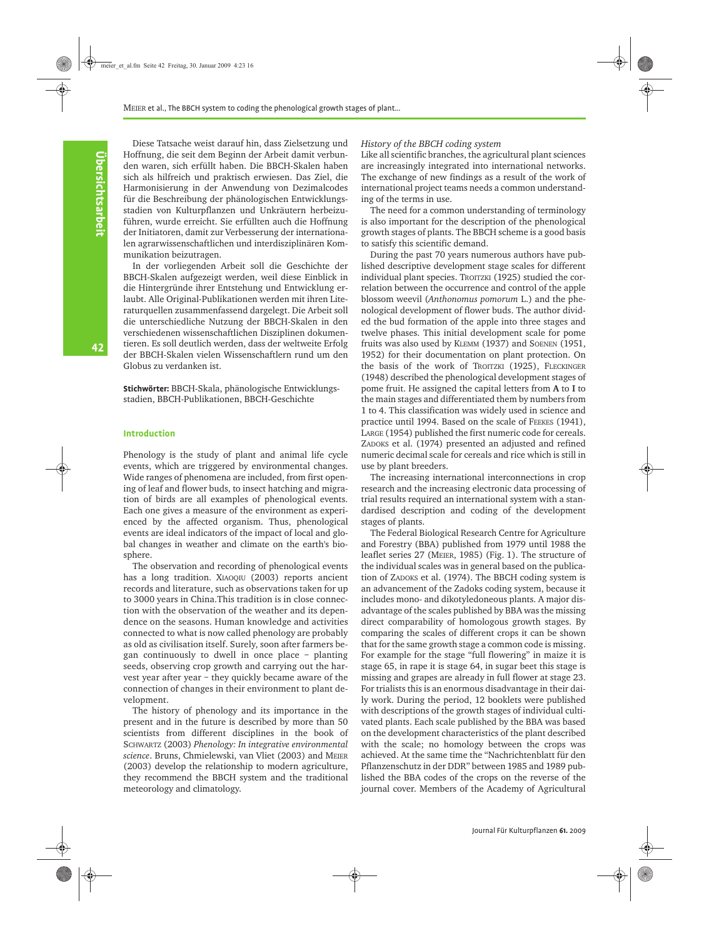Diese Tatsache weist darauf hin, dass Zielsetzung und Hoffnung, die seit dem Beginn der Arbeit damit verbunden waren, sich erfüllt haben. Die BBCH-Skalen haben sich als hilfreich und praktisch erwiesen. Das Ziel, die Harmonisierung in der Anwendung von Dezimalcodes für die Beschreibung der phänologischen Entwicklungsstadien von Kulturpflanzen und Unkräutern herbeizuführen, wurde erreicht. Sie erfüllten auch die Hoffnung der Initiatoren, damit zur Verbesserung der internationalen agrarwissenschaftlichen und interdisziplinären Kommunikation beizutragen.

In der vorliegenden Arbeit soll die Geschichte der BBCH-Skalen aufgezeigt werden, weil diese Einblick in die Hintergründe ihrer Entstehung und Entwicklung erlaubt. Alle Original-Publikationen werden mit ihren Literaturquellen zusammenfassend dargelegt. Die Arbeit soll die unterschiedliche Nutzung der BBCH-Skalen in den verschiedenen wissenschaftlichen Disziplinen dokumentieren. Es soll deutlich werden, dass der weltweite Erfolg der BBCH-Skalen vielen Wissenschaftlern rund um den Globus zu verdanken ist.

**Stichwörter:** BBCH-Skala, phänologische Entwicklungsstadien, BBCH-Publikationen, BBCH-Geschichte

#### **Introduction**

Phenology is the study of plant and animal life cycle events, which are triggered by environmental changes. Wide ranges of phenomena are included, from first opening of leaf and flower buds, to insect hatching and migration of birds are all examples of phenological events. Each one gives a measure of the environment as experienced by the affected organism. Thus, phenological events are ideal indicators of the impact of local and global changes in weather and climate on the earth's biosphere.

The observation and recording of phenological events has a long tradition. XIAOQIU (2003) reports ancient records and literature, such as observations taken for up to 3000 years in China.This tradition is in close connection with the observation of the weather and its dependence on the seasons. Human knowledge and activities connected to what is now called phenology are probably as old as civilisation itself. Surely, soon after farmers began continuously to dwell in once place – planting seeds, observing crop growth and carrying out the harvest year after year – they quickly became aware of the connection of changes in their environment to plant development.

The history of phenology and its importance in the present and in the future is described by more than 50 scientists from different disciplines in the book of SCHWARTZ (2003) *Phenology: In integrative environmental science*. Bruns, Chmielewski, van Vliet (2003) and MEIER (2003) develop the relationship to modern agriculture, they recommend the BBCH system and the traditional meteorology and climatology.

#### *History of the BBCH coding system*

Like all scientific branches, the agricultural plant sciences are increasingly integrated into international networks. The exchange of new findings as a result of the work of international project teams needs a common understanding of the terms in use.

The need for a common understanding of terminology is also important for the description of the phenological growth stages of plants. The BBCH scheme is a good basis to satisfy this scientific demand.

During the past 70 years numerous authors have published descriptive development stage scales for different individual plant species. TROITZKI (1925) studied the correlation between the occurrence and control of the apple blossom weevil (*Anthonomus pomorum* L.) and the phenological development of flower buds. The author divided the bud formation of the apple into three stages and twelve phases. This initial development scale for pome fruits was also used by KLEMM (1937) and SOENEN (1951, 1952) for their documentation on plant protection. On the basis of the work of TROITZKI (1925), FLECKINGER (1948) described the phenological development stages of pome fruit. He assigned the capital letters from **A** to **I** to the main stages and differentiated them by numbers from 1 to 4. This classification was widely used in science and practice until 1994. Based on the scale of FEEKES (1941), LARGE (1954) published the first numeric code for cereals. ZADOKS et al. (1974) presented an adjusted and refined numeric decimal scale for cereals and rice which is still in use by plant breeders.

The increasing international interconnections in crop research and the increasing electronic data processing of trial results required an international system with a standardised description and coding of the development stages of plants.

The Federal Biological Research Centre for Agriculture and Forestry (BBA) published from 1979 until 1988 the leaflet series 27 (MEIER, 1985) [\(Fig. 1](#page-2-0)). The structure of the individual scales was in general based on the publication of ZADOKS et al. (1974). The BBCH coding system is an advancement of the Zadoks coding system, because it includes mono- and dikotyledoneous plants. A major disadvantage of the scales published by BBA was the missing direct comparability of homologous growth stages. By comparing the scales of different crops it can be shown that for the same growth stage a common code is missing. For example for the stage "full flowering" in maize it is stage 65, in rape it is stage 64, in sugar beet this stage is missing and grapes are already in full flower at stage 23. For trialists this is an enormous disadvantage in their daily work. During the period, 12 booklets were published with descriptions of the growth stages of individual cultivated plants. Each scale published by the BBA was based on the development characteristics of the plant described with the scale; no homology between the crops was achieved. At the same time the "Nachrichtenblatt für den Pflanzenschutz in der DDR" between 1985 and 1989 published the BBA codes of the crops on the reverse of the journal cover. Members of the Academy of Agricultural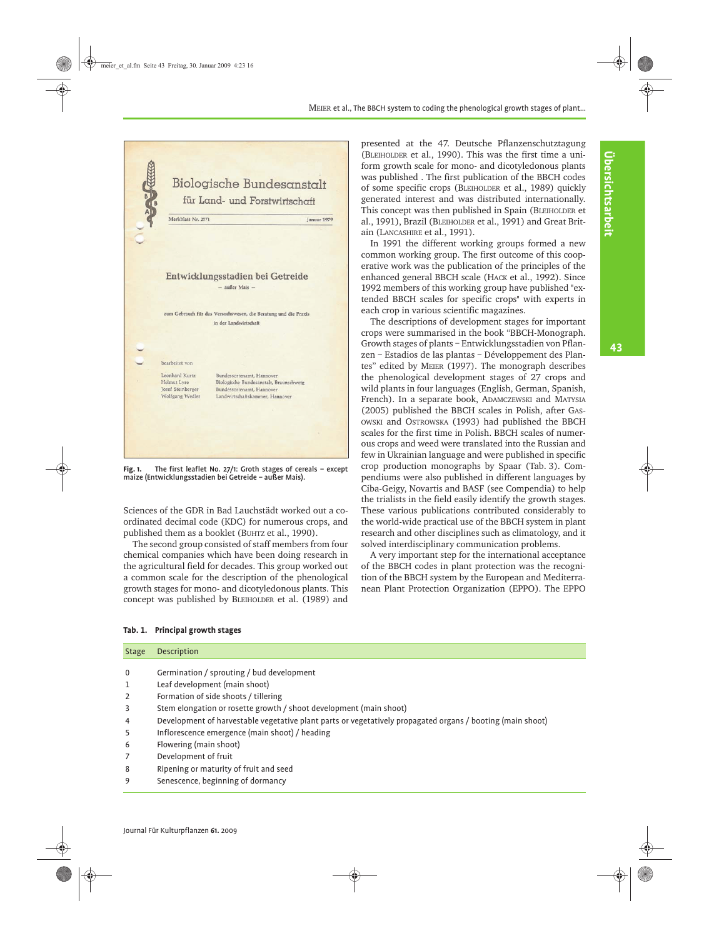43



<span id="page-2-0"></span>**Fig. 1.** The first leaflet No. 27/1: Groth stages of cereals – except maize (Entwicklungsstadien bei Getreide – außer Mais).

Sciences of the GDR in Bad Lauchstädt worked out a coordinated decimal code (KDC) for numerous crops, and published them as a booklet (BUHTZ et al., 1990).

The second group consisted of staff members from four chemical companies which have been doing research in the agricultural field for decades. This group worked out a common scale for the description of the phenological growth stages for mono- and dicotyledonous plants. This concept was published by BLEIHOLDER et al. (1989) and presented at the 47. Deutsche Pflanzenschutztagung (BLEIHOLDER et al., 1990). This was the first time a uniform growth scale for mono- and dicotyledonous plants was published . The first publication of the BBCH codes of some specific crops (BLEIHOLDER et al., 1989) quickly generated interest and was distributed internationally. This concept was then published in Spain (BLEIHOLDER et al., 1991), Brazil (BLEIHOLDER et al., 1991) and Great Britain (LANCASHIRE et al., 1991).

In 1991 the different working groups formed a new common working group. The first outcome of this cooperative work was the publication of the principles of the enhanced general BBCH scale (HACK et al., 1992). Since 1992 members of this working group have published "extended BBCH scales for specific crops" with experts in each crop in various scientific magazines.

The descriptions of development stages for important crops were summarised in the book "BBCH-Monograph. Growth stages of plants – Entwicklungsstadien von Pflanzen – Estadios de las plantas – Développement des Plantes" edited by MEIER (1997). The monograph describes the phenological development stages of 27 crops and wild plants in four languages (English, German, Spanish, French). In a separate book, ADAMCZEWSKI and MATYSIA (2005) published the BBCH scales in Polish, after GAS-OWSKI and OSTROWSKA (1993) had published the BBCH scales for the first time in Polish. BBCH scales of numerous crops and weed were translated into the Russian and few in Ukrainian language and were published in specific crop production monographs by Spaar [\(Tab. 3\)](#page-5-0). Compendiums were also published in different languages by Ciba-Geigy, Novartis and BASF (see Compendia) to help the trialists in the field easily identify the growth stages. These various publications contributed considerably to the world-wide practical use of the BBCH system in plant research and other disciplines such as climatology, and it solved interdisciplinary communication problems.

A very important step for the international acceptance of the BBCH codes in plant protection was the recognition of the BBCH system by the European and Mediterranean Plant Protection Organization (EPPO). The EPPO

#### <span id="page-2-1"></span>**Tab. 1. Principal growth stages**

| <b>Stage</b>   | Description                                                                                                |
|----------------|------------------------------------------------------------------------------------------------------------|
|                |                                                                                                            |
| 0              | Germination / sprouting / bud development                                                                  |
| 1              | Leaf development (main shoot)                                                                              |
| $\overline{2}$ | Formation of side shoots / tillering                                                                       |
| 3              | Stem elongation or rosette growth / shoot development (main shoot)                                         |
| 4              | Development of harvestable vegetative plant parts or vegetatively propagated organs / booting (main shoot) |
| 5              | Inflorescence emergence (main shoot) / heading                                                             |
| 6              | Flowering (main shoot)                                                                                     |
| 7              | Development of fruit                                                                                       |
| 8              | Ripening or maturity of fruit and seed                                                                     |
| 9              | Senescence, beginning of dormancy                                                                          |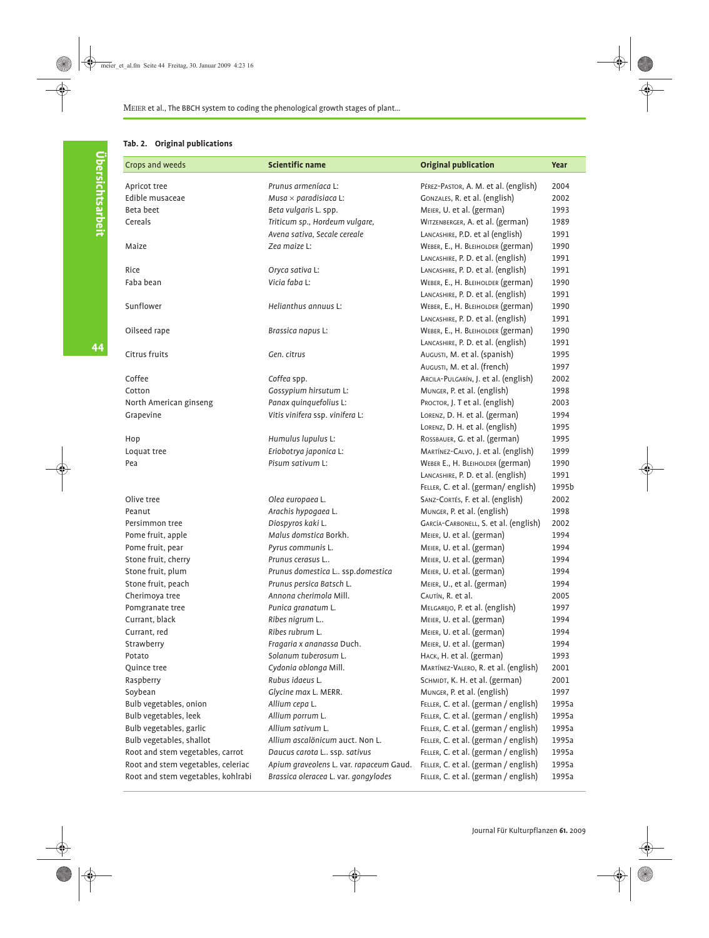# <span id="page-3-0"></span>**Tab. 2. Original publications**

| Crops and weeds                    | <b>Scientific name</b>                  | <b>Original publication</b>           | Year  |
|------------------------------------|-----------------------------------------|---------------------------------------|-------|
| Apricot tree                       | Prunus armeníaca L:                     | PÉREZ-PASTOR, A. M. et al. (english)  | 2004  |
| Edible musaceae                    | Musa $\times$ paradisiaca L:            | GONZALES, R. et al. (english)         | 2002  |
| Beta beet                          | Beta vulgaris L. spp.                   | MEIER, U. et al. (german)             | 1993  |
| Cereals                            | Triticum sp., Hordeum vulgare,          | WITZENBERGER, A. et al. (german)      | 1989  |
|                                    | Avena sativa, Secale cereale            | LANCASHIRE, P.D. et al (english)      | 1991  |
| Maize                              | Zea maize L:                            | WEBER, E., H. BLEIHOLDER (german)     | 1990  |
|                                    |                                         | LANCASHIRE, P. D. et al. (english)    | 1991  |
| Rice                               | Oryca sativa L:                         | LANCASHIRE, P. D. et al. (english)    | 1991  |
| Faba bean                          | Vicia faba L:                           | WEBER, E., H. BLEIHOLDER (german)     | 1990  |
|                                    |                                         | LANCASHIRE, P. D. et al. (english)    | 1991  |
| Sunflower                          | Helianthus annuus L:                    | WEBER, E., H. BLEIHOLDER (german)     | 1990  |
|                                    |                                         | LANCASHIRE, P. D. et al. (english)    | 1991  |
| Oilseed rape                       | Brassica napus L:                       | WEBER, E., H. BLEIHOLDER (german)     | 1990  |
|                                    |                                         | LANCASHIRE, P. D. et al. (english)    | 1991  |
| Citrus fruits                      | Gen. citrus                             | AUGUSTI, M. et al. (spanish)          | 1995  |
|                                    |                                         | AUGUSTI, M. et al. (french)           | 1997  |
| Coffee                             | Coffea spp.                             | ARCILA-PULGARÍN, J. et al. (english)  | 2002  |
| Cotton                             | Gossypium hirsutum L:                   | MUNGER, P. et al. (english)           | 1998  |
| North American ginseng             | Panax quinquefolius L:                  | PROCTOR, J. T et al. (english)        | 2003  |
| Grapevine                          | Vitis vinifera ssp. vinifera L:         | LORENZ, D. H. et al. (german)         | 1994  |
|                                    |                                         | LORENZ, D. H. et al. (english)        | 1995  |
| Hop                                | Humulus lupulus L:                      | ROSSBAUER, G. et al. (german)         | 1995  |
| Loquat tree                        | Eriobotrya japonica L:                  | MARTÍNEZ-CALVO, J. et al. (english)   | 1999  |
| Pea                                | Pisum sativum L:                        | WEBER E., H. BLEIHOLDER (german)      | 1990  |
|                                    |                                         | LANCASHIRE, P. D. et al. (english)    | 1991  |
|                                    |                                         | FELLER, C. et al. (german/english)    | 1995b |
| Olive tree                         | Olea europaea L.                        | SANZ-CORTÉS, F. et al. (english)      | 2002  |
| Peanut                             | Arachis hypogaea L.                     | MUNGER, P. et al. (english)           | 1998  |
| Persimmon tree                     | Diospyros kaki L.                       | GARCÍA-CARBONELL, S. et al. (english) | 2002  |
| Pome fruit, apple                  | Malus domstica Borkh.                   | MEIER, U. et al. (german)             | 1994  |
| Pome fruit, pear                   | Pyrus communis L.                       | MEIER, U. et al. (german)             | 1994  |
| Stone fruit, cherry                | Prunus cerasus L                        | MEIER, U. et al. (german)             | 1994  |
| Stone fruit, plum                  | Prunus domestica L ssp.domestica        | MEIER, U. et al. (german)             | 1994  |
| Stone fruit, peach                 | Prunus persica Batsch L.                | MEIER, U., et al. (german)            | 1994  |
| Cherimoya tree                     | Annona cherimola Mill.                  | CAUTÍN, R. et al.                     | 2005  |
| Pomgranate tree                    | Punica granatum L.                      | MELGAREJO, P. et al. (english)        | 1997  |
| Currant, black                     | Ribes nigrum L                          | MEIER, U. et al. (german)             | 1994  |
| Currant, red                       | Ribes rubrum L.                         | MEIER, U. et al. (german)             | 1994  |
| Strawberry                         | Fragaria x ananassa Duch.               | MEIER, U. et al. (german)             | 1994  |
| Potato                             | Solanum tuberosum L.                    | HACK, H. et al. (german)              | 1993  |
| Quince tree                        | Cydonia oblonga Mill.                   | MARTÍNEZ-VALERO, R. et al. (english)  | 2001  |
| Raspberry                          | Rubus idaeus L.                         | SCHMIDT, K. H. et al. (german)        | 2001  |
| Soybean                            | Glycine max L. MERR.                    | MUNGER, P. et al. (english)           | 1997  |
| Bulb vegetables, onion             | Allium cepa L.                          | FELLER, C. et al. (german / english)  | 1995a |
| Bulb vegetables, leek              | Allium porrum L.                        | FELLER, C. et al. (german / english)  | 1995a |
| Bulb vegetables, garlic            | Allium sativum L.                       | FELLER, C. et al. (german / english)  | 1995a |
| Bulb vegetables, shallot           | Allium ascalönicum auct. Non L.         | FELLER, C. et al. (german / english)  | 1995a |
| Root and stem vegetables, carrot   | Daucus carota L ssp. sativus            | FELLER, C. et al. (german / english)  | 1995a |
| Root and stem vegetables, celeriac | Apium graveolens L. var. rapaceum Gaud. | FELLER, C. et al. (german / english)  | 1995a |
| Root and stem vegetables, kohlrabi | Brassica oleracea L. var. gongylodes    | FELLER, C. et al. (german / english)  | 1995a |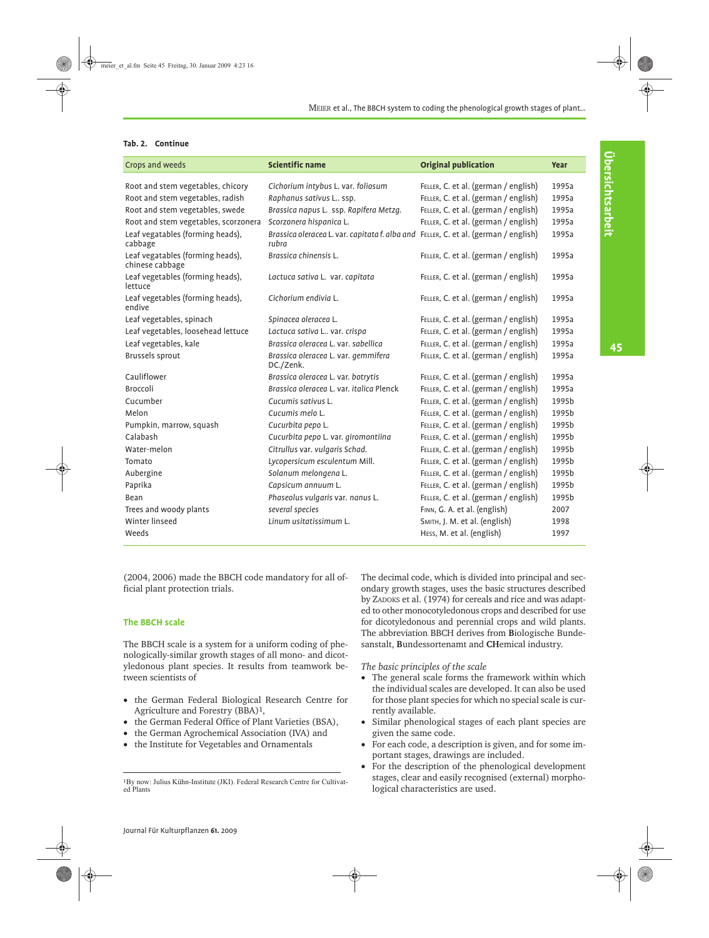# **Tab. 2. Continue**

| Crops and weeds                                     | <b>Scientific name</b>                                                                       | <b>Original publication</b>          | <b>Year</b> |
|-----------------------------------------------------|----------------------------------------------------------------------------------------------|--------------------------------------|-------------|
| Root and stem vegetables, chicory                   | Cichorium intybus L. var. foliosum                                                           | FELLER, C. et al. (german / english) | 1995a       |
| Root and stem vegetables, radish                    | Raphanus sativus L ssp.                                                                      | FELLER, C. et al. (german / english) | 1995a       |
| Root and stem vegetables, swede                     | Brassica napus L. ssp. Rapifera Metzg.                                                       | FELLER, C. et al. (german / english) | 1995a       |
| Root and stem vegetables, scorzonera                | Scorzonera hispanica L.                                                                      | FELLER, C. et al. (german / english) | 1995a       |
| Leaf vegatables (forming heads),<br>cabbage         | Brassica oleracea L. var. capitata f. alba and FELLER, C. et al. (german / english)<br>rubra |                                      | 1995a       |
| Leaf vegatables (forming heads),<br>chinese cabbage | Brassica chinensis L.                                                                        | FELLER, C. et al. (german / english) | 1995a       |
| Leaf vegetables (forming heads),<br>lettuce         | Lactuca sativa L. var. capitata                                                              | FELLER, C. et al. (german / english) | 1995a       |
| Leaf vegetables (forming heads),<br>endive          | Cichorium endivia L.                                                                         | FELLER, C. et al. (german / english) | 1995a       |
| Leaf vegetables, spinach                            | Spinacea oleracea L.                                                                         | FELLER, C. et al. (german / english) | 1995a       |
| Leaf vegetables, loosehead lettuce                  | Lactuca sativa L var. crispa                                                                 | FELLER, C. et al. (german / english) | 1995a       |
| Leaf vegetables, kale                               | Brassica oleracea L. var. sabellica                                                          | FELLER, C. et al. (german / english) | 1995a       |
| Brussels sprout                                     | Brassica oleracea L. var. gemmifera<br>DC./Zenk.                                             | FELLER, C. et al. (german / english) | 1995a       |
| Cauliflower                                         | Brassica oleracea L. var. botrytis                                                           | FELLER, C. et al. (german / english) | 1995a       |
| <b>Broccoli</b>                                     | Brassica oleracea L. var. italica Plenck                                                     | FELLER, C. et al. (german / english) | 1995a       |
| Cucumber                                            | Cucumis sativus L.                                                                           | FELLER, C. et al. (german / english) | 1995b       |
| Melon                                               | Cucumis melo L.                                                                              | FELLER, C. et al. (german / english) | 1995b       |
| Pumpkin, marrow, squash                             | Cucurbita pepo L.                                                                            | FELLER, C. et al. (german / english) | 1995b       |
| Calabash                                            | Cucurbita pepo L. var. giromontiina                                                          | FELLER, C. et al. (german / english) | 1995b       |
| Water-melon                                         | Citrullus var. vulgaris Schad.                                                               | FELLER, C. et al. (german / english) | 1995b       |
| Tomato                                              | Lycopersicum esculentum Mill.                                                                | FELLER, C. et al. (german / english) | 1995b       |
| Aubergine                                           | Solanum melongena L.                                                                         | FELLER, C. et al. (german / english) | 1995b       |
| Paprika                                             | Capsicum annuum L.                                                                           | FELLER, C. et al. (german / english) | 1995b       |
| Bean                                                | Phaseolus vulgaris var. nanus L.                                                             | FELLER, C. et al. (german / english) | 1995b       |
| Trees and woody plants                              | several species                                                                              | FINN, G. A. et al. (english)         | 2007        |
| Winter linseed                                      | Linum usitatissimum L.                                                                       | SMITH, J. M. et al. (english)        | 1998        |
| Weeds                                               |                                                                                              | HESS, M. et al. (english)            | 1997        |

(2004, 2006) made the BBCH code mandatory for all official plant protection trials.

### **The BBCH scale**

The BBCH scale is a system for a uniform coding of phenologically-similar growth stages of all mono- and dicotyledonous plant species. It results from teamwork between scientists of

- the German Federal Biological Research Centre for Agriculture and Forestry (BBA)1,
- the German Federal Office of Plant Varieties (BSA),
- the German Agrochemical Association (IVA) and
- the Institute for Vegetables and Ornamentals

The decimal code, which is divided into principal and secondary growth stages, uses the basic structures described by ZADOKS et al. (1974) for cereals and rice and was adapted to other monocotyledonous crops and described for use for dicotyledonous and perennial crops and wild plants. The abbreviation BBCH derives from **B**iologische Bundesanstalt, **B**undessortenamt and **CH**emical industry.

*The basic principles of the scale*

- The general scale forms the framework within which the individual scales are developed. It can also be used for those plant species for which no special scale is currently available.
- Similar phenological stages of each plant species are given the same code.
- For each code, a description is given, and for some important stages, drawings are included.
- For the description of the phenological development stages, clear and easily recognised (external) morphological characteristics are used.

<sup>1</sup>By now: Julius Kühn-Institute (JKI). Federal Research Centre for Cultivated Plants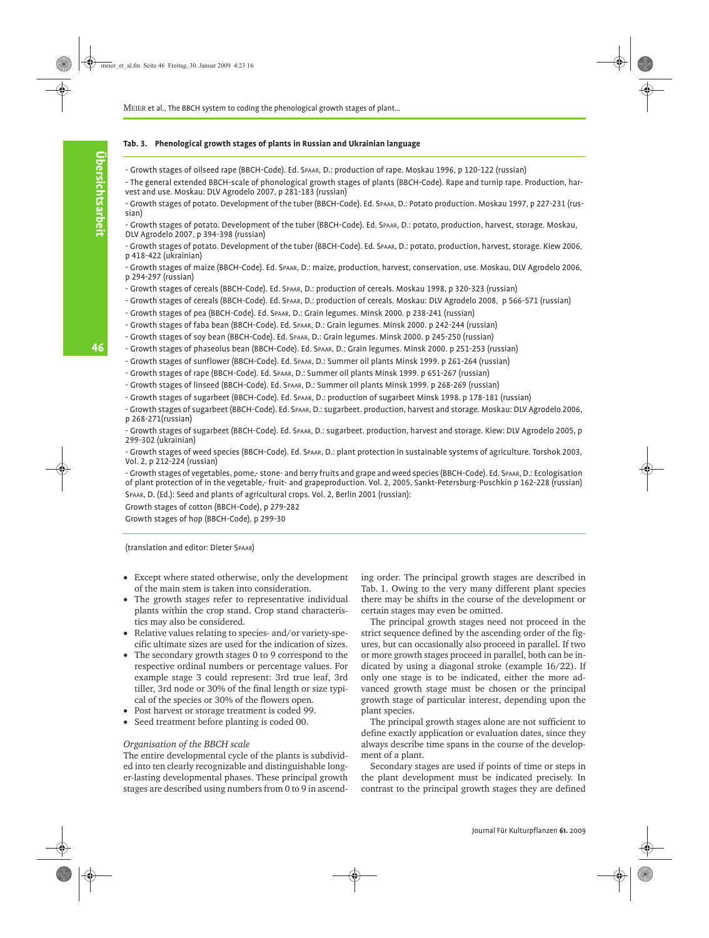### <span id="page-5-0"></span>**Tab. 3. Phenological growth stages of plants in Russian and Ukrainian language**

- Growth stages of oilseed rape (BBCH-Code). Ed. SPAAR, D.: production of rape. Moskau 1996, p 120-122 (russian)

- The general extended BBCH-scale of phonological growth stages of plants (BBCH-Code). Rape and turnip rape. Production, harvest and use. Moskau: DLV Agrodelo 2007, p 281-183 (russian)

- Growth stages of potato. Development of the tuber (BBCH-Code). Ed. SPAAR, D.: Potato production. Moskau 1997, p 227-231 (russian)

- Growth stages of potato. Development of the tuber (BBCH-Code). Ed. SPAAR, D.: potato, production, harvest, storage. Moskau, DLV Agrodelo 2007, p 394-398 (russian)

- Growth stages of potato. Development of the tuber (BBCH-Code). Ed. SPAAR, D.: potato, production, harvest, storage. Kiew 2006, p 418-422 (ukrainian)

- Growth stages of maize (BBCH-Code). Ed. SPAAR, D.: maize, production, harvest, conservation, use. Moskau, DLV Agrodelo 2006, p 294-297 (russian)

- Growth stages of cereals (BBCH-Code). Ed. SPAAR, D.: production of cereals. Moskau 1998, p 320-323 (russian)
- Growth stages of cereals (BBCH-Code). Ed. SPAAR, D.: production of cereals. Moskau: DLV Agrodelo 2008, p 566-571 (russian)
- Growth stages of pea (BBCH-Code). Ed. SPAAR, D.: Grain legumes. Minsk 2000. p 238-241 (russian)
- Growth stages of faba bean (BBCH-Code). Ed. SPAAR, D.: Grain legumes. Minsk 2000. p 242-244 (russian)
- Growth stages of soy bean (BBCH-Code). Ed. SPAAR, D.: Grain legumes. Minsk 2000. p 245-250 (russian)

- Growth stages of phaseolus bean (BBCH-Code). Ed. SPAAR, D.: Grain legumes. Minsk 2000. p 251-253 (russian)

- Growth stages of sunflower (BBCH-Code). Ed. SPAAR, D.: Summer oil plants Minsk 1999. p 261-264 (russian)

- Growth stages of rape (BBCH-Code). Ed. SPAAR, D.: Summer oil plants Minsk 1999. p 651-267 (russian)

- Growth stages of linseed (BBCH-Code). Ed. SPAAR, D.: Summer oil plants Minsk 1999. p 268-269 (russian)

- Growth stages of sugarbeet (BBCH-Code). Ed. SPAAR, D.: production of sugarbeet Minsk 1998. p 178-181 (russian)

- Growth stages of sugarbeet (BBCH-Code). Ed. SPAAR, D.: sugarbeet. production, harvest and storage. Moskau: DLV Agrodelo 2006, p 268-271(russian)

- Growth stages of sugarbeet (BBCH-Code). Ed. SPAAR, D.: sugarbeet. production, harvest and storage. Kiew: DLV Agrodelo 2005, p 299-302 (ukrainian)

- Growth stages of weed species (BBCH-Code). Ed. SPAAR, D.: plant protection in sustainable systems of agriculture. Torshok 2003, Vol. 2, p 212-224 (russian)

- Growth stages of vegetables, pome,- stone- and berry fruits and grape and weed species (BBCH-Code). Ed. SPAAR, D.: Ecologisation of plant protection of in the vegetable,- fruit- and grapeproduction. Vol. 2, 2005, Sankt-Petersburg-Puschkin p 162-228 (russian) SPAAR, D. (Ed.): Seed and plants of agricultural crops. Vol. 2, Berlin 2001 (russian):

Growth stages of cotton (BBCH-Code), p 279-282

Growth stages of hop (BBCH-Code), p 299-30

(translation and editor: Dieter SPAAR)

- Except where stated otherwise, only the development of the main stem is taken into consideration.
- The growth stages refer to representative individual plants within the crop stand. Crop stand characteristics may also be considered.
- Relative values relating to species- and/or variety-specific ultimate sizes are used for the indication of sizes.
- The secondary growth stages 0 to 9 correspond to the respective ordinal numbers or percentage values. For example stage 3 could represent: 3rd true leaf, 3rd tiller, 3rd node or 30% of the final length or size typical of the species or 30% of the flowers open.
- Post harvest or storage treatment is coded 99.
- Seed treatment before planting is coded 00.

### *Organisation of the BBCH scale*

The entire developmental cycle of the plants is subdivided into ten clearly recognizable and distinguishable longer-lasting developmental phases. These principal growth stages are described using numbers from 0 to 9 in ascend-

ing order. The principal growth stages are described in [Tab. 1](#page-2-1). Owing to the very many different plant species there may be shifts in the course of the development or certain stages may even be omitted.

The principal growth stages need not proceed in the strict sequence defined by the ascending order of the figures, but can occasionally also proceed in parallel. If two or more growth stages proceed in parallel, both can be indicated by using a diagonal stroke (example 16/22). If only one stage is to be indicated, either the more advanced growth stage must be chosen or the principal growth stage of particular interest, depending upon the plant species.

The principal growth stages alone are not sufficient to define exactly application or evaluation dates, since they always describe time spans in the course of the development of a plant.

Secondary stages are used if points of time or steps in the plant development must be indicated precisely. In contrast to the principal growth stages they are defined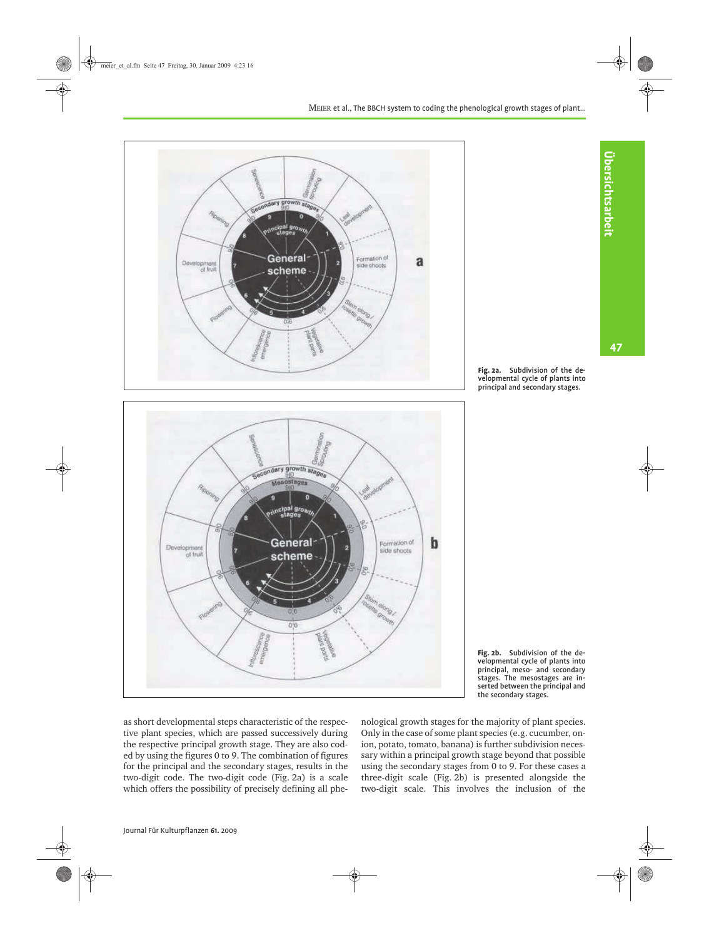

<span id="page-6-0"></span>

<span id="page-6-1"></span>

as short developmental steps characteristic of the respective plant species, which are passed successively during the respective principal growth stage. They are also coded by using the figures 0 to 9. The combination of figures for the principal and the secondary stages, results in the two-digit code. The two-digit code ([Fig. 2a\)](#page-6-0) is a scale which offers the possibility of precisely defining all phe-

nological growth stages for the majority of plant species. Only in the case of some plant species (e.g. cucumber, onion, potato, tomato, banana) is further subdivision necessary within a principal growth stage beyond that possible using the secondary stages from 0 to 9. For these cases a three-digit scale ([Fig. 2b\)](#page-6-1) is presented alongside the two-digit scale. This involves the inclusion of the 47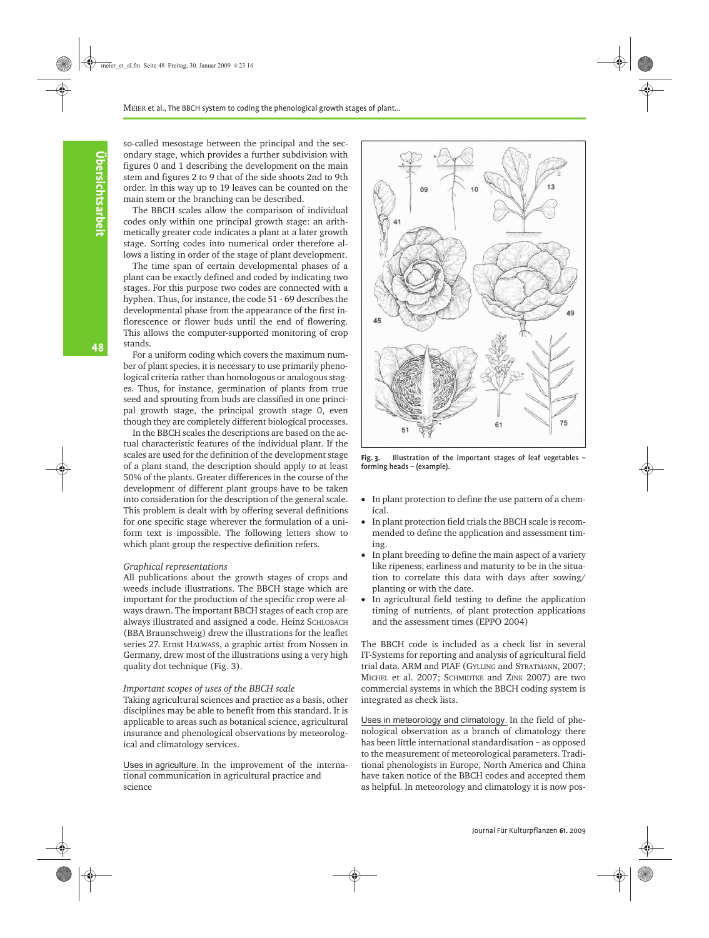so-called mesostage between the principal and the secondary stage, which provides a further subdivision with figures 0 and 1 describing the development on the main stem and figures 2 to 9 that of the side shoots 2nd to 9th order. In this way up to 19 leaves can be counted on the main stem or the branching can be described.

The BBCH scales allow the comparison of individual codes only within one principal growth stage: an arithmetically greater code indicates a plant at a later growth stage. Sorting codes into numerical order therefore allows a listing in order of the stage of plant development.

The time span of certain developmental phases of a plant can be exactly defined and coded by indicating two stages. For this purpose two codes are connected with a hyphen. Thus, for instance, the code 51 - 69 describes the developmental phase from the appearance of the first inflorescence or flower buds until the end of flowering. This allows the computer-supported monitoring of crop stands.

For a uniform coding which covers the maximum number of plant species, it is necessary to use primarily phenological criteria rather than homologous or analogous stages. Thus, for instance, germination of plants from true seed and sprouting from buds are classified in one principal growth stage, the principal growth stage 0, even though they are completely different biological processes.

In the BBCH scales the descriptions are based on the actual characteristic features of the individual plant. If the scales are used for the definition of the development stage of a plant stand, the description should apply to at least 50% of the plants. Greater differences in the course of the development of different plant groups have to be taken into consideration for the description of the general scale. This problem is dealt with by offering several definitions for one specific stage wherever the formulation of a uniform text is impossible. The following letters show to which plant group the respective definition refers.

#### *Graphical representations*

All publications about the growth stages of crops and weeds include illustrations. The BBCH stage which are important for the production of the specific crop were always drawn. The important BBCH stages of each crop are always illustrated and assigned a code. Heinz SCHLOBACH (BBA Braunschweig) drew the illustrations for the leaflet series 27. Ernst HALWASS, a graphic artist from Nossen in Germany, drew most of the illustrations using a very high quality dot technique ([Fig. 3\)](#page-7-0).

#### *Important scopes of uses of the BBCH scale*

Taking agricultural sciences and practice as a basis, other disciplines may be able to benefit from this standard. It is applicable to areas such as botanical science, agricultural insurance and phenological observations by meteorological and climatology services.

Uses in agriculture. In the improvement of the international communication in agricultural practice and science



<span id="page-7-0"></span>**Fig. 3.** Illustration of the important stages of leaf vegetables – forming heads – (example).

- In plant protection to define the use pattern of a chemical.
- In plant protection field trials the BBCH scale is recommended to define the application and assessment timing.
- In plant breeding to define the main aspect of a variety like ripeness, earliness and maturity to be in the situation to correlate this data with days after sowing/ planting or with the date.
- In agricultural field testing to define the application timing of nutrients, of plant protection applications and the assessment times (EPPO 2004)

The BBCH code is included as a check list in several IT-Systems for reporting and analysis of agricultural field trial data. ARM and PIAF (GYLLING and STRATMANN, 2007; MICHEL et al. 2007; SCHMIDTKE and ZINK 2007) are two commercial systems in which the BBCH coding system is integrated as check lists.

Uses in meteorology and climatology. In the field of phenological observation as a branch of climatology there has been little international standardisation – as opposed to the measurement of meteorological parameters. Traditional phenologists in Europe, North America and China have taken notice of the BBCH codes and accepted them as helpful. In meteorology and climatology it is now pos-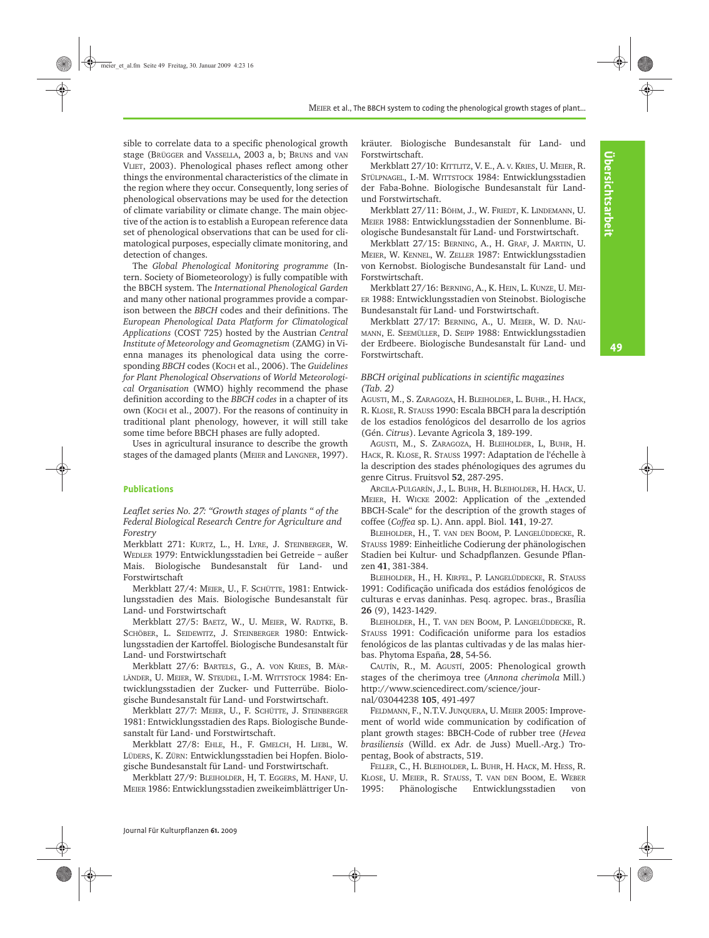49

sible to correlate data to a specific phenological growth stage (BRÜGGER and VASSELLA, 2003 a, b; BRUNS and VAN VLIET, 2003). Phenological phases reflect among other things the environmental characteristics of the climate in the region where they occur. Consequently, long series of phenological observations may be used for the detection of climate variability or climate change. The main objective of the action is to establish a European reference data set of phenological observations that can be used for climatological purposes, especially climate monitoring, and detection of changes.

The *Global Phenological Monitoring programme* (Intern. Society of Biometeorology) is fully compatible with the BBCH system. The *International Phenological Garden* and many other national programmes provide a comparison between the *BBCH* codes and their definitions. The *European Phenological Data Platform for Climatological Applications* (COST 725) hosted by the Austrian *Central Institute of Meteorology and Geomagnetism* (ZAMG) in Vienna manages its phenological data using the corresponding *BBCH* codes (KOCH et al., 2006). The *Guidelines for Plant Phenological Observations* of *World* M*eteorological Organisation* (WMO) highly recommend the phase definition according to the *BBCH codes* in a chapter of its own (KOCH et al., 2007). For the reasons of continuity in traditional plant phenology, however, it will still take some time before BBCH phases are fully adopted.

Uses in agricultural insurance to describe the growth stages of the damaged plants (MEIER and LANGNER, 1997).

### **Publications**

*Leaflet series No. 27: "Growth stages of plants " of the Federal Biological Research Centre for Agriculture and Forestry*

Merkblatt 271: KURTZ, L., H. LYRE, J. STEINBERGER, W. WEDLER 1979: Entwicklungsstadien bei Getreide – außer Mais. Biologische Bundesanstalt für Land- und Forstwirtschaft

Merkblatt 27/4: MEIER, U., F. SCHÜTTE, 1981: Entwicklungsstadien des Mais. Biologische Bundesanstalt für Land- und Forstwirtschaft

Merkblatt 27/5: BAETZ, W., U. MEIER, W. RADTKE, B. SCHÖBER, L. SEIDEWITZ, J. STEINBERGER 1980: Entwicklungsstadien der Kartoffel. Biologische Bundesanstalt für Land- und Forstwirtschaft

Merkblatt 27/6: BARTELS, G., A. VON KRIES, B. MÄR-LÄNDER, U. MEIER, W. STEUDEL, I.-M. WITTSTOCK 1984: Entwicklungsstadien der Zucker- und Futterrübe. Biologische Bundesanstalt für Land- und Forstwirtschaft.

Merkblatt 27/7: MEIER, U., F. SCHÜTTE, J. STEINBERGER 1981: Entwicklungsstadien des Raps. Biologische Bundesanstalt für Land- und Forstwirtschaft.

Merkblatt 27/8: EHLE, H., F. GMELCH, H. LIEBL, W. LÜDERS, K. ZÜRN: Entwicklungsstadien bei Hopfen. Biologische Bundesanstalt für Land- und Forstwirtschaft.

Merkblatt 27/9: BLEIHOLDER, H, T. EGGERS, M. HANF, U. MEIER 1986: Entwicklungsstadien zweikeimblättriger Unkräuter. Biologische Bundesanstalt für Land- und Forstwirtschaft.

Merkblatt 27/10: KITTLITZ, V. E., A. V. KRIES, U. MEIER, R. STÜLPNAGEL, I.-M. WITTSTOCK 1984: Entwicklungsstadien der Faba-Bohne. Biologische Bundesanstalt für Landund Forstwirtschaft.

Merkblatt 27/11: BÖHM, J., W. FRIEDT, K. LINDEMANN, U. MEIER 1988: Entwicklungsstadien der Sonnenblume. Biologische Bundesanstalt für Land- und Forstwirtschaft.

Merkblatt 27/15: BERNING, A., H. GRAF, J. MARTIN, U. MEIER, W. KENNEL, W. ZELLER 1987: Entwicklungsstadien von Kernobst. Biologische Bundesanstalt für Land- und Forstwirtschaft.

Merkblatt 27/16: BERNING, A., K. HEIN, L. KUNZE, U. MEI-ER 1988: Entwicklungsstadien von Steinobst. Biologische Bundesanstalt für Land- und Forstwirtschaft.

Merkblatt 27/17: BERNING, A., U. MEIER, W. D. NAU-MANN, E. SEEMÜLLER, D. SEIPP 1988: Entwicklungsstadien der Erdbeere. Biologische Bundesanstalt für Land- und Forstwirtschaft.

### *BBCH original publications in scientific magazines [\(Tab. 2](#page-3-0))*

AGUSTI, M., S. ZARAGOZA, H. BLEIHOLDER, L. BUHR., H. HACK, R. KLOSE, R. STAUSS 1990: Escala BBCH para la descriptión de los estadios fenológicos del desarrollo de los agrios (Gén. *Citrus*). Levante Agricola **3**, 189-199.

AGUSTI, M., S. ZARAGOZA, H. BLEIHOLDER, L, BUHR, H. HACK, R. KLOSE, R. STAUSS 1997: Adaptation de l'échelle à la description des stades phénologiques des agrumes du genre Citrus. Fruitsvol **52**, 287-295.

ARCILA-PULGARÍN, J., L. BUHR, H. BLEIHOLDER, H. HACK, U. MEIER, H. WICKE 2002: Application of the "extended BBCH-Scale" for the description of the growth stages of coffee (*Coffea* sp. L). Ann. appl. Biol. **141**, 19-27.

BLEIHOLDER, H., T. VAN DEN BOOM, P. LANGELÜDDECKE, R. STAUSS 1989: Einheitliche Codierung der phänologischen Stadien bei Kultur- und Schadpflanzen. Gesunde Pflanzen **41**, 381-384.

BLEIHOLDER, H., H. KIRFEL, P. LANGELÜDDECKE, R. STAUSS 1991: Codificação unificada dos estádios fenológicos de culturas e ervas daninhas. Pesq. agropec. bras., Brasília **26** (9), 1423-1429.

BLEIHOLDER, H., T. VAN DEN BOOM, P. LANGELÜDDECKE, R. STAUSS 1991: Codificación uniforme para los estadios fenológicos de las plantas cultivadas y de las malas hierbas. Phytoma España, **28**, 54-56.

CAUTÍN, R., M. AGUSTÍ, 2005: Phenological growth stages of the cherimoya tree (*Annona cherimola* Mill.) http://www.sciencedirect.com/science/jour-

nal/03044238 **105**, 491-497

FELDMANN, F., N.T.V. JUNQUERA, U. MEIER 2005: Improvement of world wide communication by codification of plant growth stages: BBCH-Code of rubber tree (*Hevea brasiliensis* (Willd. ex Adr. de Juss) Muell.-Arg.) Tropentag, Book of abstracts, 519.

FELLER, C., H. BLEIHOLDER, L. BUHR, H. HACK, M. HESS, R. KLOSE, U. MEIER, R. STAUSS, T. VAN DEN BOOM, E. WEBER 1995: Phänologische Entwicklungsstadien von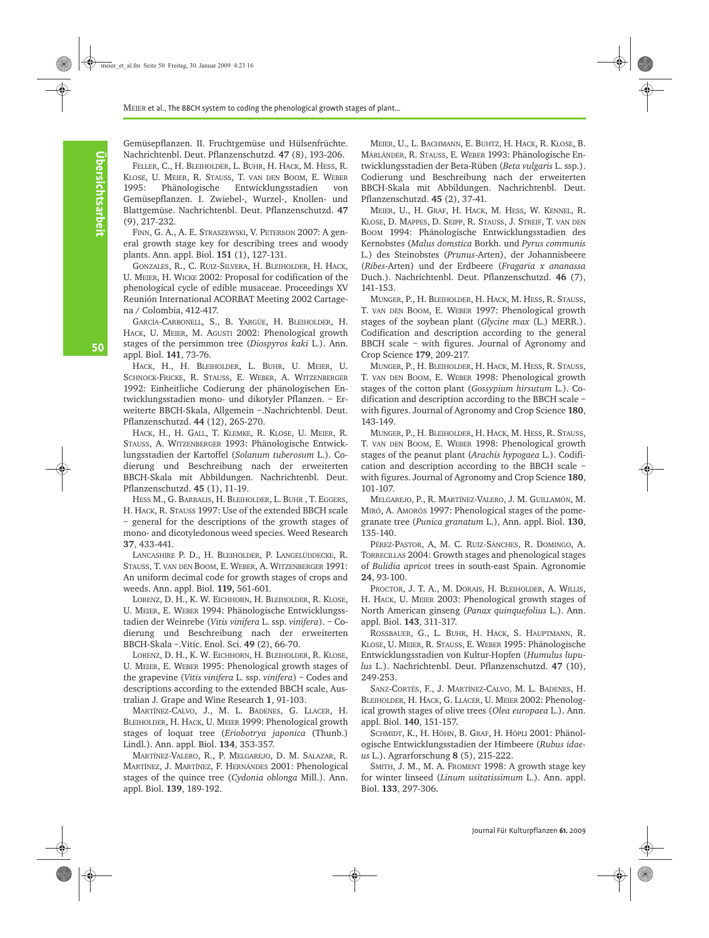Gemüsepflanzen. II. Fruchtgemüse und Hülsenfrüchte. Nachrichtenbl. Deut. Pflanzenschutzd. **47** (8), 193-206.

FELLER, C., H. BLEIHOLDER, L. BUHR, H. HACK, M. HESS, R. KLOSE, U. MEIER, R. STAUSS, T. VAN DEN BOOM, E. WEBER 1995: Phänologische Entwicklungsstadien von Gemüsepflanzen. I. Zwiebel-, Wurzel-, Knollen- und Blattgemüse. Nachrichtenbl. Deut. Pflanzenschutzd. **47** (9), 217-232.

FINN, G. A., A. E. STRASZEWSKI, V. PETERSON 2007: A general growth stage key for describing trees and woody plants. Ann. appl. Biol. **151** (1), 127-131.

GONZALES, R., C. RUIZ-SILVERA, H. BLEIHOLDER, H. HACK, U. MEIER, H. WICKE 2002: Proposal for codification of the phenological cycle of edible musaceae. Proceedings XV Reunión International ACORBAT Meeting 2002 Cartagena / Colombia, 412-417.

GARCÍA-CARBONELL, S., B. YARGÜE, H. BLEIHOLDER, H. HACK, U. MEIER, M. AGUSTI 2002: Phenological growth stages of the persimmon tree (*Diospyros kaki* L.). Ann. appl. Biol. **141**, 73-76.

HACK, H., H. BLEIHOLDER, L. BUHR, U. MEIER, U. SCHNOCK-FRICKE, R. STAUSS, E. WEBER, A. WITZENBERGER 1992: Einheitliche Codierung der phänologischen Entwicklungsstadien mono- und dikotyler Pflanzen. – Erweiterte BBCH-Skala, Allgemein –.Nachrichtenbl. Deut. Pflanzenschutzd. **44** (12), 265-270.

HACK, H., H. GALL, T. KLEMKE, R. KLOSE, U. MEIER, R. STAUSS, A. WITZENBERGER 1993: Phänologische Entwicklungsstadien der Kartoffel (*Solanum tuberosum* L.). Codierung und Beschreibung nach der erweiterten BBCH-Skala mit Abbildungen. Nachrichtenbl. Deut. Pflanzenschutzd. **45** (1), 11-19.

HESS M., G. BARRALIS, H. BLEIHOLDER, L. BUHR , T. EGGERS, H. HACK, R. STAUSS 1997: Use of the extended BBCH scale – general for the descriptions of the growth stages of mono- and dicotyledonous weed species. Weed Research **37**, 433-441.

LANCASHIRE P. D., H. BLEIHOLDER, P. LANGELÜDDECKE, R. STAUSS, T. VAN DEN BOOM, E. WEBER, A. WITZENBERGER 1991: An uniform decimal code for growth stages of crops and weeds. Ann. appl. Biol. **119,** 561-601.

LORENZ, D. H., K. W. EICHHORN, H. BLEIHOLDER, R. KLOSE, U. MEIER, E. WEBER 1994: Phänologische Entwicklungsstadien der Weinrebe (*Vitis vinifera* L. ssp. *vinifera*). – Codierung und Beschreibung nach der erweiterten BBCH-Skala –.Vitic. Enol. Sci. **49** (2), 66-70.

LORENZ, D. H., K. W. EICHHORN, H. BLEIHOLDER, R. KLOSE, U. MEIER, E. WEBER 1995: Phenological growth stages of the grapevine (*Vitis vinifera* L. ssp. *vinifera*) – Codes and descriptions according to the extended BBCH scale, Australian J. Grape and Wine Research **1**, 91-103.

MARTÍNEZ-CALVO, J., M. L. BADENES, G. LLACER, H. BLEIHOLDER, H. HACK, U. MEIER 1999: Phenological growth stages of loquat tree (*Eriobotrya japonica* (Thunb.) Lindl.). Ann. appl. Biol. **134**, 353-357.

MARTÍNEZ-VALERO, R., P. MELGAREJO, D. M. SALAZAR, R. MARTÍNEZ, J. MARTÍNEZ, F. HERNÁNDES 2001: Phenological stages of the quince tree (*Cydonia oblonga* Mill.). Ann. appl. Biol. **139**, 189-192.

MEIER, U., L. BACHMANN, E. BUHTZ, H. HACK, R. KLOSE, B. MÄRLÄNDER, R. STAUSS, E. WEBER 1993: Phänologische Entwicklungsstadien der Beta-Rüben (*Beta vulgaris* L. ssp.). Codierung und Beschreibung nach der erweiterten BBCH-Skala mit Abbildungen. Nachrichtenbl. Deut. Pflanzenschutzd. **45** (2), 37-41.

MEIER, U., H. GRAF, H. HACK, M. HESS, W. KENNEL, R. KLOSE, D. MAPPES, D. SEIPP, R. STAUSS, J. STREIF, T. VAN DEN BOOM 1994: Phänologische Entwicklungsstadien des Kernobstes (*Malus domstica* Borkh. und *Pyrus communis* L.) des Steinobstes (*Prunus*-Arten), der Johannisbeere (*Ribes*-Arten) und der Erdbeere (*Fragaria x ananassa* Duch.). Nachrichtenbl. Deut. Pflanzenschutzd. **46** (7), 141-153.

MUNGER, P., H. BLEIHOLDER, H. HACK, M. HESS, R. STAUSS, T. VAN DEN BOOM, E. WEBER 1997: Phenological growth stages of the soybean plant (*Glycine max* (L.) MERR.). Codification and description according to the general BBCH scale – with figures. Journal of Agronomy and Crop Science **179**, 209-217.

MUNGER, P., H. BLEIHOLDER, H. HACK, M. HESS, R. STAUSS, T. VAN DEN BOOM, E. WEBER 1998: Phenological growth stages of the cotton plant (*Gossypium hirsutum* L.). Codification and description according to the BBCH scale – with figures. Journal of Agronomy and Crop Science **180**, 143-149.

MUNGER, P., H. BLEIHOLDER, H. HACK, M. HESS, R. STAUSS, T. VAN DEN BOOM, E. WEBER 1998: Phenological growth stages of the peanut plant (*Arachis hypogaea* L.). Codification and description according to the BBCH scale – with figures. Journal of Agronomy and Crop Science **180**, 101-107.

MELGAREJO, P., R. MARTÍNEZ-VALERO, J. M. GUILLAMÓN, M. MIRÓ, A. AMORÓS 1997: Phenological stages of the pomegranate tree (*Punica granatum* L.), Ann. appl. Biol. **130**, 135-140.

PÉREZ-PASTOR, A, M. C. RUIZ-SÁNCHES, R. DOMINGO, A. TORRECILLAS 2004: Growth stages and phenological stages of *Bulidia apricot* trees in south-east Spain. Agronomie **24**, 93-100.

PROCTOR, J. T. A., M. DORAIS, H. BLEIHOLDER, A. WILLIS, H. HACK, U. MEIER 2003: Phenological growth stages of North American ginseng (*Panax quinquefolius* L.). Ann. appl. Biol. **143**, 311-317.

ROSSBAUER, G., L. BUHR, H. HACK, S. HAUPTMANN, R. KLOSE, U. MEIER, R. STAUSS, E. WEBER 1995: Phänologische Entwicklungsstadien von Kultur-Hopfen (*Humulus lupulus* L.). Nachrichtenbl. Deut. Pflanzenschutzd. **47** (10), 249-253.

SANZ-CORTÉS, F., J. MARTÍNEZ-CALVO, M. L. BADENES, H. BLEIHOLDER, H. HACK, G. LLÁCER, U. MEIER 2002: Phenological growth stages of olive trees (*Olea europaea* L.). Ann. appl. Biol. **140**, 151-157.

SCHMIDT, K., H. HÖHN, B. GRAF, H. HÖPLI 2001: Phänologische Entwicklungsstadien der Himbeere (*Rubus idaeus* L.). Agrarforschung **8** (5), 215-222.

SMITH, J. M., M. A. FROMENT 1998: A growth stage key for winter linseed (*Linum usitatissimum* L.). Ann. appl. Biol. **133**, 297-306.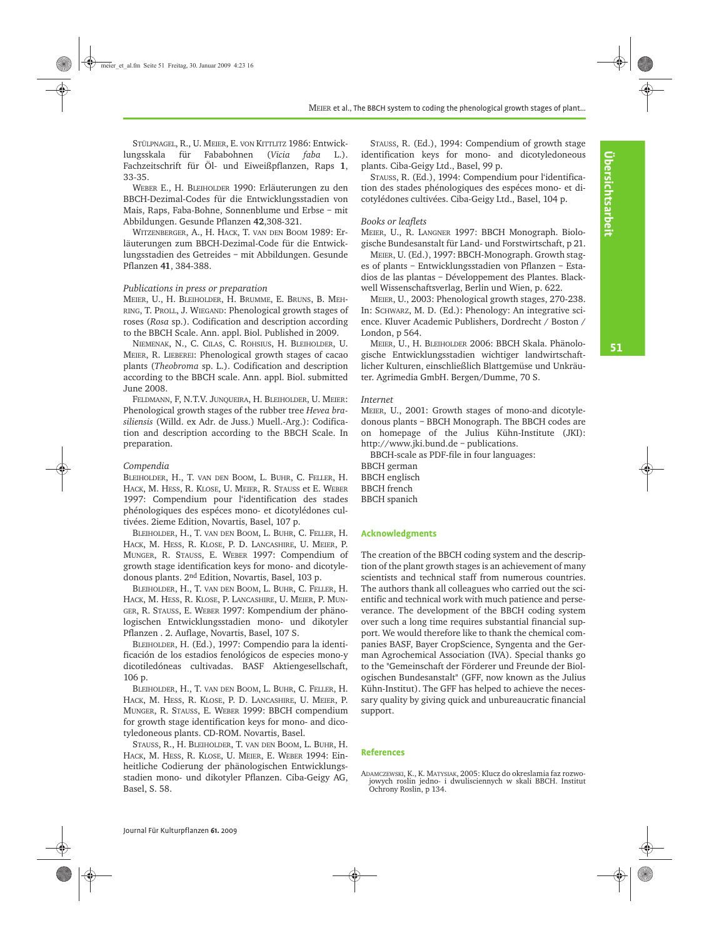STÜLPNAGEL, R., U. MEIER, E. VON KITTLITZ 1986: Entwicklungsskala für Fababohnen (*Vicia faba* L.). Fachzeitschrift für Öl- und Eiweißpflanzen, Raps **1**, 33-35.

WEBER E., H. BLEIHOLDER 1990: Erläuterungen zu den BBCH-Dezimal-Codes für die Entwicklungsstadien von Mais, Raps, Faba-Bohne, Sonnenblume und Erbse – mit Abbildungen. Gesunde Pflanzen **42**,308-321.

WITZENBERGER, A., H. HACK, T. VAN DEN BOOM 1989: Erläuterungen zum BBCH-Dezimal-Code für die Entwicklungsstadien des Getreides – mit Abbildungen. Gesunde Pflanzen **41**, 384-388.

# *Publications in press or preparation*

MEIER, U., H. BLEIHOLDER, H. BRUMME, E. BRUNS, B. MEH-RING, T. PROLL, J. WIEGAND: Phenological growth stages of roses (*Rosa* sp.). Codification and description according to the BBCH Scale. Ann. appl. Biol. Published in 2009.

NIEMENAK, N., C. CILAS, C. ROHSIUS, H. BLEIHOLDER, U. MEIER, R. LIEBEREI: Phenological growth stages of cacao plants (*Theobroma* sp. L.). Codification and description according to the BBCH scale. Ann. appl. Biol. submitted June 2008.

FELDMANN, F, N.T.V. JUNQUEIRA, H. BLEIHOLDER, U. MEIER: Phenological growth stages of the rubber tree *Hevea brasiliensis* (Willd. ex Adr. de Juss.) Muell.-Arg.): Codification and description according to the BBCH Scale. In preparation.

# *Compendia*

BLEIHOLDER, H., T. VAN DEN BOOM, L. BUHR, C. FELLER, H. HACK, M. HESS, R. KLOSE, U. MEIER, R. STAUSS et E. WEBER 1997: Compendium pour l'identification des stades phénologiques des espéces mono- et dicotylédones cultivées. 2ieme Edition, Novartis, Basel, 107 p.

BLEIHOLDER, H., T. VAN DEN BOOM, L. BUHR, C. FELLER, H. HACK, M. HESS, R. KLOSE, P. D. LANCASHIRE, U. MEIER, P. MUNGER, R. STAUSS, E. WEBER 1997: Compendium of growth stage identification keys for mono- and dicotyledonous plants. 2nd Edition, Novartis, Basel, 103 p.

BLEIHOLDER, H., T. VAN DEN BOOM, L. BUHR, C. FELLER, H. HACK, M. HESS, R. KLOSE, P. LANCASHIRE, U. MEIER, P. MUN-GER, R. STAUSS, E. WEBER 1997: Kompendium der phänologischen Entwicklungsstadien mono- und dikotyler Pflanzen . 2. Auflage, Novartis, Basel, 107 S.

BLEIHOLDER, H. (Ed.), 1997: Compendio para la identificación de los estadios fenológicos de especies mono-y dicotiledóneas cultivadas. BASF Aktiengesellschaft, 106 p.

BLEIHOLDER, H., T. VAN DEN BOOM, L. BUHR, C. FELLER, H. HACK, M. HESS, R. KLOSE, P. D. LANCASHIRE, U. MEIER, P. MUNGER, R. STAUSS, E. WEBER 1999: BBCH compendium for growth stage identification keys for mono- and dicotyledoneous plants. CD-ROM. Novartis, Basel.

STAUSS, R., H. BLEIHOLDER, T. VAN DEN BOOM, L. BUHR, H. HACK, M. HESS, R. KLOSE, U. MEIER, E. WEBER 1994: Einheitliche Codierung der phänologischen Entwicklungsstadien mono- und dikotyler Pflanzen. Ciba-Geigy AG, Basel, S. 58.

STAUSS, R. (Ed.), 1994: Compendium of growth stage identification keys for mono- and dicotyledoneous plants. Ciba-Geigy Ltd., Basel, 99 p.

STAUSS, R. (Ed.), 1994: Compendium pour l'identification des stades phénologiques des espéces mono- et dicotylédones cultivées. Ciba-Geigy Ltd., Basel, 104 p.

# *Books or leaflets*

MEIER, U., R. LANGNER 1997: BBCH Monograph. Biologische Bundesanstalt für Land- und Forstwirtschaft, p 21.

MEIER, U. (Ed.), 1997: BBCH-Monograph. Growth stages of plants – Entwicklungsstadien von Pflanzen – Estadios de las plantas – Développement des Plantes. Blackwell Wissenschaftsverlag, Berlin und Wien, p. 622.

MEIER, U., 2003: Phenological growth stages, 270-238. In: SCHWARZ, M. D. (Ed.): Phenology: An integrative science. Kluver Academic Publishers, Dordrecht / Boston / London, p 564.

MEIER, U., H. BLEIHOLDER 2006: BBCH Skala. Phänologische Entwicklungsstadien wichtiger landwirtschaftlicher Kulturen, einschließlich Blattgemüse und Unkräuter. Agrimedia GmbH. Bergen/Dumme, 70 S.

# *Internet*

MEIER, U., 2001: Growth stages of mono-and dicotyledonous plants – BBCH Monograph. The BBCH codes are on homepage of the Julius Kühn-Institute (JKI): http://www.jki.bund.de – publications.

BBCH-scale as PDF-file in four languages:

BBCH german BBCH englisch BBCH french BBCH spanich

### **Acknowledgments**

The creation of the BBCH coding system and the description of the plant growth stages is an achievement of many scientists and technical staff from numerous countries. The authors thank all colleagues who carried out the scientific and technical work with much patience and perseverance. The development of the BBCH coding system over such a long time requires substantial financial support. We would therefore like to thank the chemical companies BASF, Bayer CropScience, Syngenta and the German Agrochemical Association (IVA). Special thanks go to the "Gemeinschaft der Förderer und Freunde der Biologischen Bundesanstalt" (GFF, now known as the Julius Kühn-Institut). The GFF has helped to achieve the necessary quality by giving quick and unbureaucratic financial support.

### **References**

ADAMCZEWSKI, K., K. MATYSIAK, 2005: Klucz do okreslamia faz rozwojowych roslin jedno- i dwulisciennych w skali BBCH. Institut Ochrony Roslin, p 134.